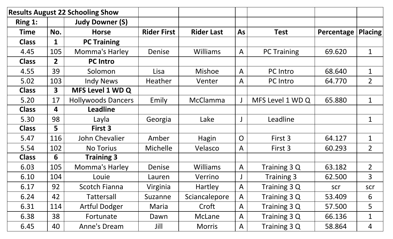| <b>Results August 22 Schooling Show</b> |                |                           |                    |                   |                |                    |            |                |
|-----------------------------------------|----------------|---------------------------|--------------------|-------------------|----------------|--------------------|------------|----------------|
| Ring 1:                                 |                | <b>Judy Downer (S)</b>    |                    |                   |                |                    |            |                |
| <b>Time</b>                             | No.            | <b>Horse</b>              | <b>Rider First</b> | <b>Rider Last</b> | <b>As</b>      | <b>Test</b>        | Percentage | <b>Placing</b> |
| <b>Class</b>                            | 1              | <b>PC Training</b>        |                    |                   |                |                    |            |                |
| 4.45                                    | 105            | Momma's Harley            | Denise             | <b>Williams</b>   | $\mathsf{A}$   | <b>PC Training</b> | 69.620     | $\mathbf{1}$   |
| <b>Class</b>                            | 2 <sup>1</sup> | <b>PC Intro</b>           |                    |                   |                |                    |            |                |
| 4.55                                    | 39             | Solomon                   | Lisa               | <b>Mishoe</b>     | $\mathsf{A}$   | <b>PC</b> Intro    | 68.640     | $\mathbf 1$    |
| 5.02                                    | 103            | <b>Indy News</b>          | Heather            | Venter            | $\mathsf{A}$   | <b>PC</b> Intro    | 64.770     | 2 <sup>1</sup> |
| <b>Class</b>                            | 3 <sup>1</sup> | <b>MFS Level 1 WD Q</b>   |                    |                   |                |                    |            |                |
| 5.20                                    | 17             | <b>Hollywoods Dancers</b> | Emily              | McClamma          | J              | MFS Level 1 WD Q   | 65.880     | $\mathbf{1}$   |
| <b>Class</b>                            | 4              | <b>Leadline</b>           |                    |                   |                |                    |            |                |
| 5.30                                    | 98             | Layla                     | Georgia            | Lake              |                | Leadline           |            | $\mathbf 1$    |
| <b>Class</b>                            | 5              | First 3                   |                    |                   |                |                    |            |                |
| 5.47                                    | 116            | John Chevalier            | Amber              | Hagin             | $\overline{O}$ | First 3            | 64.127     | $\mathbf 1$    |
| 5.54                                    | 102            | <b>No Torius</b>          | <b>Michelle</b>    | Velasco           | $\mathsf{A}$   | First 3            | 60.293     | 2 <sup>1</sup> |
| <b>Class</b>                            | 6              | <b>Training 3</b>         |                    |                   |                |                    |            |                |
| 6.03                                    | 105            | Momma's Harley            | Denise             | <b>Williams</b>   | $\mathsf{A}$   | Training 3 Q       | 63.182     | $2^{\circ}$    |
| 6.10                                    | 104            | Louie                     | Lauren             | Verrino           |                | <b>Training 3</b>  | 62.500     | 3 <sup>1</sup> |
| 6.17                                    | 92             | Scotch Fianna             | Virginia           | <b>Hartley</b>    | $\mathsf{A}$   | Training 3 Q       | scr        | scr            |
| 6.24                                    | 42             | Tattersall                | Suzanne            | Sciancalepore     | $\mathsf{A}$   | Training 3 Q       | 53.409     | 6              |
| 6.31                                    | 114            | <b>Artful Dodger</b>      | Maria              | Croft             | $\mathsf{A}$   | Training 3 Q       | 57.500     | 5              |
| 6.38                                    | 38             | Fortunate                 | Dawn               | McLane            | $\mathsf{A}$   | Training 3 Q       | 66.136     | $\mathbf 1$    |
| 6.45                                    | 40             | Anne's Dream              | Jill               | <b>Morris</b>     | $\mathsf{A}$   | Training 3 Q       | 58.864     | 4              |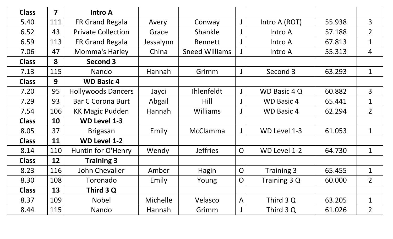| <b>Class</b> | $\overline{\mathbf{z}}$ | <b>Intro A</b>            |                 |                       |                |                   |        |                |
|--------------|-------------------------|---------------------------|-----------------|-----------------------|----------------|-------------------|--------|----------------|
| 5.40         | 111                     | <b>FR Grand Regala</b>    | Avery           | Conway                | J              | Intro A (ROT)     | 55.938 | $\overline{3}$ |
| 6.52         | 43                      | <b>Private Collection</b> | Grace           | Shankle               |                | Intro A           | 57.188 | 2 <sup>1</sup> |
| 6.59         | 113                     | <b>FR Grand Regala</b>    | Jessalynn       | <b>Bennett</b>        |                | Intro A           | 67.813 | $\mathbf 1$    |
| 7.06         | 47                      | Momma's Harley            | China           | <b>Sneed Williams</b> |                | Intro A           | 55.313 | $\overline{4}$ |
| <b>Class</b> | 8                       | Second 3                  |                 |                       |                |                   |        |                |
| 7.13         | 115                     | Nando                     | Hannah          | Grimm                 |                | Second 3          | 63.293 | $\mathbf{1}$   |
| <b>Class</b> | 9                       | <b>WD Basic 4</b>         |                 |                       |                |                   |        |                |
| 7.20         | 95                      | <b>Hollywoods Dancers</b> | Jayci           | <b>Ihlenfeldt</b>     |                | WD Basic 4 Q      | 60.882 | 3 <sup>1</sup> |
| 7.29         | 93                      | <b>Bar C Corona Burt</b>  | Abgail          | Hill                  |                | <b>WD Basic 4</b> | 65.441 | $\mathbf 1$    |
| 7.54         | 106                     | <b>KK Magic Pudden</b>    | Hannah          | <b>Williams</b>       |                | <b>WD Basic 4</b> | 62.294 | 2 <sup>1</sup> |
| <b>Class</b> | 10                      | <b>WD Level 1-3</b>       |                 |                       |                |                   |        |                |
| 8.05         | 37                      | <b>Brigasan</b>           | Emily           | <b>McClamma</b>       |                | WD Level 1-3      | 61.053 | $\mathbf 1$    |
| <b>Class</b> | 11                      | <b>WD Level 1-2</b>       |                 |                       |                |                   |        |                |
| 8.14         | 110                     | Huntin for O'Henry        | Wendy           | <b>Jeffries</b>       | $\overline{O}$ | WD Level 1-2      | 64.730 | $\mathbf{1}$   |
| <b>Class</b> | 12                      | <b>Training 3</b>         |                 |                       |                |                   |        |                |
| 8.23         | 116                     | <b>John Chevalier</b>     | Amber           | Hagin                 | $\overline{O}$ | Training 3        | 65.455 | $\mathbf{1}$   |
| 8.30         | 108                     | Toronado                  | Emily           | Young                 | $\overline{O}$ | Training 3 Q      | 60.000 | $\overline{2}$ |
| <b>Class</b> | 13                      | Third 3 Q                 |                 |                       |                |                   |        |                |
| 8.37         | 109                     | <b>Nobel</b>              | <b>Michelle</b> | Velasco               | $\mathsf{A}$   | Third 3 Q         | 63.205 | $\mathbf 1$    |
| 8.44         | 115                     | Nando                     | Hannah          | Grimm                 | J              | Third 3 Q         | 61.026 | 2 <sup>1</sup> |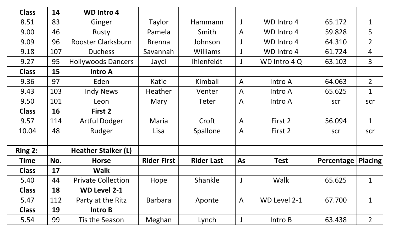| <b>Class</b> | 14  | <b>WD Intro 4</b>          |                    |                   |                |                   |            |                |
|--------------|-----|----------------------------|--------------------|-------------------|----------------|-------------------|------------|----------------|
| 8.51         | 83  | Ginger                     | Taylor             | Hammann           |                | WD Intro 4        | 65.172     | $\mathbf 1$    |
| 9.00         | 46  | Rusty                      | Pamela             | Smith             | $\mathsf{A}$   | <b>WD Intro 4</b> | 59.828     | 5              |
| 9.09         | 96  | <b>Rooster Clarksburn</b>  | <b>Brenna</b>      | Johnson           |                | WD Intro 4        | 64.310     | 2 <sup>1</sup> |
| 9.18         | 107 | <b>Duchess</b>             | Savannah           | <b>Williams</b>   |                | <b>WD Intro 4</b> | 61.724     | 4              |
| 9.27         | 95  | <b>Hollywoods Dancers</b>  | Jayci              | Ihlenfeldt        |                | WD Intro 4 Q      | 63.103     | $\overline{3}$ |
| <b>Class</b> | 15  | <b>Intro A</b>             |                    |                   |                |                   |            |                |
| 9.36         | 97  | Eden                       | Katie              | Kimball           | $\mathsf{A}$   | Intro A           | 64.063     | 2 <sup>1</sup> |
| 9.43         | 103 | <b>Indy News</b>           | Heather            | Venter            | $\overline{A}$ | Intro A           | 65.625     | $\mathbf 1$    |
| 9.50         | 101 | Leon                       | Mary               | Teter             | $\mathsf{A}$   | Intro A           | scr        | scr            |
| <b>Class</b> | 16  | First 2                    |                    |                   |                |                   |            |                |
| 9.57         | 114 | <b>Artful Dodger</b>       | Maria              | Croft             | $\mathsf{A}$   | First 2           | 56.094     | $\mathbf{1}$   |
| 10.04        | 48  | Rudger                     | Lisa               | <b>Spallone</b>   | $\mathsf{A}$   | First 2           | scr        | scr            |
|              |     |                            |                    |                   |                |                   |            |                |
| Ring 2:      |     | <b>Heather Stalker (L)</b> |                    |                   |                |                   |            |                |
| <b>Time</b>  | No. | <b>Horse</b>               | <b>Rider First</b> | <b>Rider Last</b> | As             | <b>Test</b>       | Percentage | $ $ Placing    |
| <b>Class</b> | 17  | <b>Walk</b>                |                    |                   |                |                   |            |                |
| 5.40         | 44  | <b>Private Collection</b>  | Hope               | Shankle           |                | Walk              | 65.625     | $\mathbf 1$    |
| <b>Class</b> | 18  | <b>WD Level 2-1</b>        |                    |                   |                |                   |            |                |
| 5.47         | 112 | Party at the Ritz          | <b>Barbara</b>     | Aponte            | $\mathsf{A}$   | WD Level 2-1      | 67.700     | $\mathbf 1$    |
| <b>Class</b> | 19  | Intro B                    |                    |                   |                |                   |            |                |
| 5.54         | 99  | Tis the Season             | Meghan             | Lynch             |                | Intro B           | 63.438     | 2 <sup>1</sup> |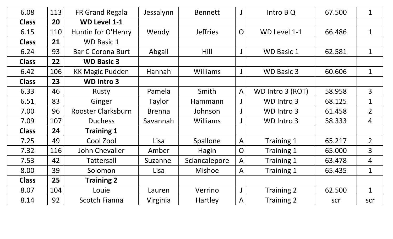| 6.08         | 113 | <b>FR Grand Regala</b>    | Jessalynn     | <b>Bennett</b>  |                | Intro B Q         | 67.500 | $\mathbf 1$    |
|--------------|-----|---------------------------|---------------|-----------------|----------------|-------------------|--------|----------------|
| <b>Class</b> | 20  | <b>WD Level 1-1</b>       |               |                 |                |                   |        |                |
| 6.15         | 110 | Huntin for O'Henry        | Wendy         | <b>Jeffries</b> | $\overline{O}$ | WD Level 1-1      | 66.486 | $\mathbf 1$    |
| <b>Class</b> | 21  | <b>WD Basic 1</b>         |               |                 |                |                   |        |                |
| 6.24         | 93  | <b>Bar C Corona Burt</b>  | Abgail        | Hill            |                | <b>WD Basic 1</b> | 62.581 | $\mathbf{1}$   |
| <b>Class</b> | 22  | <b>WD Basic 3</b>         |               |                 |                |                   |        |                |
| 6.42         | 106 | <b>KK Magic Pudden</b>    | Hannah        | <b>Williams</b> |                | <b>WD Basic 3</b> | 60.606 | $\mathbf{1}$   |
| <b>Class</b> | 23  | <b>WD Intro 3</b>         |               |                 |                |                   |        |                |
| 6.33         | 46  | Rusty                     | Pamela        | Smith           | $\mathsf{A}$   | WD Intro 3 (ROT)  | 58.958 | $\overline{3}$ |
| 6.51         | 83  | Ginger                    | Taylor        | Hammann         |                | WD Intro 3        | 68.125 | $\mathbf{1}$   |
| 7.00         | 96  | <b>Rooster Clarksburn</b> | <b>Brenna</b> | Johnson         |                | WD Intro 3        | 61.458 | $\overline{2}$ |
| 7.09         | 107 | <b>Duchess</b>            | Savannah      | <b>Williams</b> |                | WD Intro 3        | 58.333 | 4              |
| <b>Class</b> | 24  | <b>Training 1</b>         |               |                 |                |                   |        |                |
| 7.25         | 49  | Cool Zool                 | Lisa          | Spallone        | $\mathsf{A}$   | Training 1        | 65.217 | 2 <sup>1</sup> |
| 7.32         | 116 | John Chevalier            | Amber         | Hagin           | $\overline{O}$ | Training 1        | 65.000 | $\overline{3}$ |
| 7.53         | 42  | <b>Tattersall</b>         | Suzanne       | Sciancalepore   | $\mathsf{A}$   | Training 1        | 63.478 | 4              |
| 8.00         | 39  | Solomon                   | Lisa          | <b>Mishoe</b>   | $\mathsf{A}$   | Training 1        | 65.435 | $\mathbf{1}$   |
| <b>Class</b> | 25  | <b>Training 2</b>         |               |                 |                |                   |        |                |
| 8.07         | 104 | Louie                     | Lauren        | Verrino         |                | Training 2        | 62.500 | $\mathbf{1}$   |
| 8.14         | 92  | <b>Scotch Fianna</b>      | Virginia      | Hartley         | $\mathsf{A}$   | <b>Training 2</b> | scr    | scr            |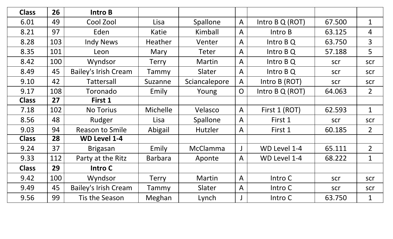| <b>Class</b> | 26  | Intro B                     |                |                 |                |                 |        |                |
|--------------|-----|-----------------------------|----------------|-----------------|----------------|-----------------|--------|----------------|
| 6.01         | 49  | Cool Zool                   | Lisa           | Spallone        | $\mathsf{A}$   | Intro B Q (ROT) | 67.500 | $\mathbf{1}$   |
| 8.21         | 97  | Eden                        | Katie          | Kimball         | $\overline{A}$ | Intro B         | 63.125 | $\overline{4}$ |
| 8.28         | 103 | <b>Indy News</b>            | <b>Heather</b> | Venter          | $\mathsf{A}$   | Intro B Q       | 63.750 | $\overline{3}$ |
| 8.35         | 101 | Leon                        | Mary           | Teter           | $\mathsf{A}$   | Intro B Q       | 57.188 | 5              |
| 8.42         | 100 | Wyndsor                     | <b>Terry</b>   | Martin          | $\overline{A}$ | Intro B Q       | scr    | scr            |
| 8.49         | 45  | <b>Bailey's Irish Cream</b> | Tammy          | Slater          | $\mathsf{A}$   | Intro B Q       | scr    | scr            |
| 9.10         | 42  | <b>Tattersall</b>           | Suzanne        | Sciancalepore   | $\mathsf{A}$   | Intro B (ROT)   | scr    | scr            |
| 9.17         | 108 | Toronado                    | Emily          | Young           | $\overline{O}$ | Intro B Q (ROT) | 64.063 | $\overline{2}$ |
| <b>Class</b> | 27  | First 1                     |                |                 |                |                 |        |                |
| 7.18         | 102 | <b>No Torius</b>            | Michelle       | Velasco         | $\mathsf{A}$   | First 1 (ROT)   | 62.593 | $\mathbf{1}$   |
| 8.56         | 48  | Rudger                      | Lisa           | Spallone        | $\mathsf{A}$   | First 1         | scr    | scr            |
| 9.03         | 94  | <b>Reason to Smile</b>      | Abigail        | Hutzler         | $\mathsf{A}$   | First 1         | 60.185 | 2 <sup>1</sup> |
| <b>Class</b> | 28  | <b>WD Level 1-4</b>         |                |                 |                |                 |        |                |
| 9.24         | 37  | <b>Brigasan</b>             | Emily          | <b>McClamma</b> | $\mathsf{J}$   | WD Level 1-4    | 65.111 | 2 <sup>1</sup> |
| 9.33         | 112 | Party at the Ritz           | <b>Barbara</b> | Aponte          | $\mathsf{A}$   | WD Level 1-4    | 68.222 | $\mathbf{1}$   |
| <b>Class</b> | 29  | Intro C                     |                |                 |                |                 |        |                |
| 9.42         | 100 | Wyndsor                     | <b>Terry</b>   | Martin          | $\mathsf{A}$   | Intro C         | scr    | scr            |
| 9.49         | 45  | <b>Bailey's Irish Cream</b> | Tammy          | Slater          | $\overline{A}$ | Intro C         | scr    | scr            |
| 9.56         | 99  | Tis the Season              | Meghan         | Lynch           |                | Intro C         | 63.750 | $\mathbf 1$    |